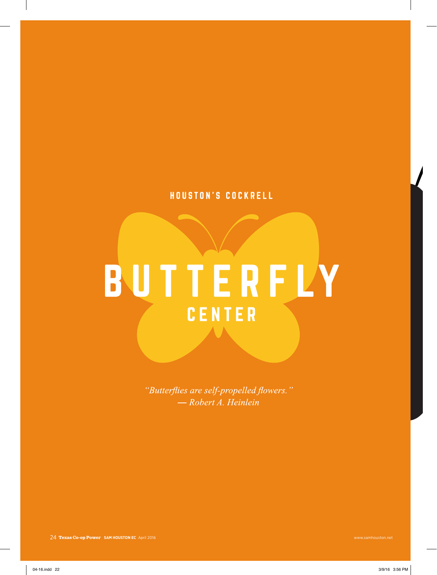## HOUSTON'S COCKRELL

## BUTTERFLY CENTER

"Butterflies are self-propelled flowers." - Robert A. Heinlein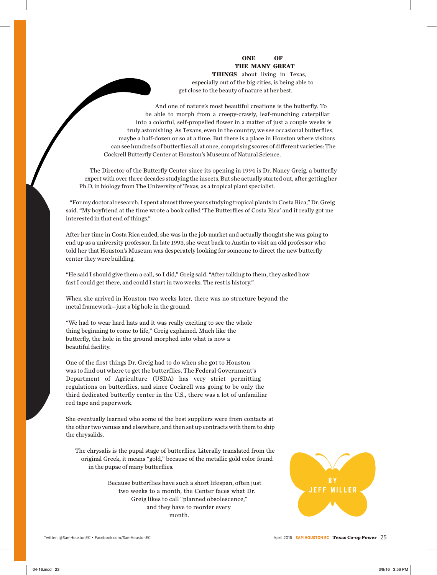## **ONE OF THE MANY GREAT**

**THINGS** about living in Texas, especially out of the big cities, is being able to get close to the beauty of nature at her best.

And one of nature's most beautiful creations is the butterfly. To be able to morph from a creepy-crawly, leaf-munching caterpillar into a colorful, self-propelled flower in a matter of just a couple weeks is truly astonishing. As Texans, even in the country, we see occasional butterflies, maybe a half-dozen or so at a time. But there is a place in Houston where visitors can see hundreds of butterflies all at once, comprising scores of different varieties: The Cockrell Butterfly Center at Houston's Museum of Natural Science.

The Director of the Butterfly Center since its opening in 1994 is Dr. Nancy Greig, a butterfly expert with over three decades studying the insects. But she actually started out, after getting her Ph.D. in biology from The University of Texas, as a tropical plant specialist.

"For my doctoral research, I spent almost three years studying tropical plants in Costa Rica," Dr. Greig said. "My boyfriend at the time wrote a book called 'The Butterflies of Costa Rica' and it really got me interested in that end of things."

After her time in Costa Rica ended, she was in the job market and actually thought she was going to end up as a university professor. In late 1993, she went back to Austin to visit an old professor who told her that Houston's Museum was desperately looking for someone to direct the new butterfly center they were building.

"He said I should give them a call, so I did," Greig said. "After talking to them, they asked how fast I could get there, and could I start in two weeks. The rest is history."

When she arrived in Houston two weeks later, there was no structure beyond the metal framework—just a big hole in the ground.

"We had to wear hard hats and it was really exciting to see the whole thing beginning to come to life," Greig explained. Much like the butterfly, the hole in the ground morphed into what is now a beautiful facility.

One of the first things Dr. Greig had to do when she got to Houston was to find out where to get the butterflies. The Federal Government's Department of Agriculture (USDA) has very strict permitting regulations on butterflies, and since Cockrell was going to be only the third dedicated butterfly center in the U.S., there was a lot of unfamiliar red tape and paperwork.

She eventually learned who some of the best suppliers were from contacts at the other two venues and elsewhere, and then set up contracts with them to ship the chrysalids.

The chrysalis is the pupal stage of butterflies. Literally translated from the original Greek, it means "gold," because of the metallic gold color found in the pupae of many butterflies.

> Because butterflies have such a short lifespan, often just two weeks to a month, the Center faces what Dr. Greig likes to call "planned obsolescence," and they have to reorder every month.

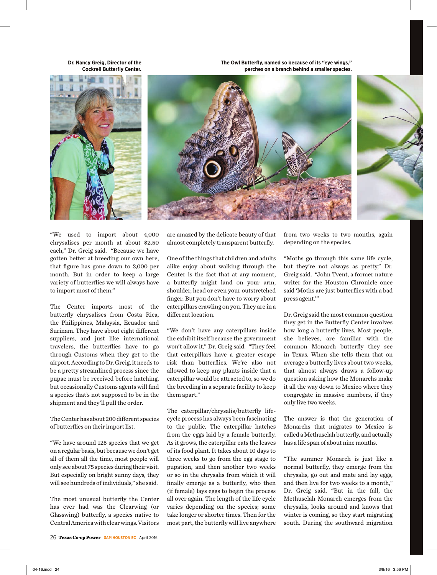**Dr. Nancy Greig, Director of the Cockrell Butterfly Center.**





**The Owl Butterfly, named so because of its "eye wings,"** 



"We used to import about 4,000 chrysalises per month at about \$2.50 each," Dr. Greig said. "Because we have gotten better at breeding our own here, that figure has gone down to 3,000 per month. But in order to keep a large variety of butterflies we will always have to import most of them."

The Center imports most of the butterfly chrysalises from Costa Rica, the Philippines, Malaysia, Ecuador and Surinam. They have about eight different suppliers, and just like international travelers, the butterflies have to go through Customs when they get to the airport. According to Dr. Greig, it needs to be a pretty streamlined process since the pupae must be received before hatching, but occasionally Customs agents will find a species that's not supposed to be in the shipment and they'll pull the order.

The Center has about 200 different species of butterflies on their import list.

"We have around 125 species that we get on a regular basis, but because we don't get all of them all the time, most people will only see about 75 species during their visit. But especially on bright sunny days, they will see hundreds of individuals," she said.

The most unusual butterfly the Center has ever had was the Clearwing (or Glasswing) butterfly, a species native to Central America with clear wings. Visitors are amazed by the delicate beauty of that almost completely transparent butterfly.

One of the things that children and adults alike enjoy about walking through the Center is the fact that at any moment, a butterfly might land on your arm, shoulder, head or even your outstretched finger. But you don't have to worry about caterpillars crawling on you. They are in a different location.

"We don't have any caterpillars inside the exhibit itself because the government won't allow it," Dr. Greig said. "They feel that caterpillars have a greater escape risk than butterflies. We're also not allowed to keep any plants inside that a caterpillar would be attracted to, so we do the breeding in a separate facility to keep them apart."

The caterpillar/chrysalis/butterfly lifecycle process has always been fascinating to the public. The caterpillar hatches from the eggs laid by a female butterfly. As it grows, the caterpillar eats the leaves of its food plant. It takes about 10 days to three weeks to go from the egg stage to pupation, and then another two weeks or so in the chrysalis from which it will finally emerge as a butterfly, who then (if female) lays eggs to begin the process all over again. The length of the life cycle varies depending on the species; some take longer or shorter times. Then for the most part, the butterfly will live anywhere from two weeks to two months, again depending on the species.

"Moths go through this same life cycle, but they're not always as pretty," Dr. Greig said. "John Tvent, a former nature writer for the Houston Chronicle once said 'Moths are just butterflies with a bad press agent.'"

Dr. Greig said the most common question they get in the Butterfly Center involves how long a butterfly lives. Most people, she believes, are familiar with the common Monarch butterfly they see in Texas. When she tells them that on average a butterfly lives about two weeks, that almost always draws a follow-up question asking how the Monarchs make it all the way down to Mexico where they congregate in massive numbers, if they only live two weeks.

The answer is that the generation of Monarchs that migrates to Mexico is called a Methuselah butterfly, and actually has a life span of about nine months.

"The summer Monarch is just like a normal butterfly, they emerge from the chrysalis, go out and mate and lay eggs, and then live for two weeks to a month," Dr. Greig said. "But in the fall, the Methuselah Monarch emerges from the chrysalis, looks around and knows that winter is coming, so they start migrating south. During the southward migration